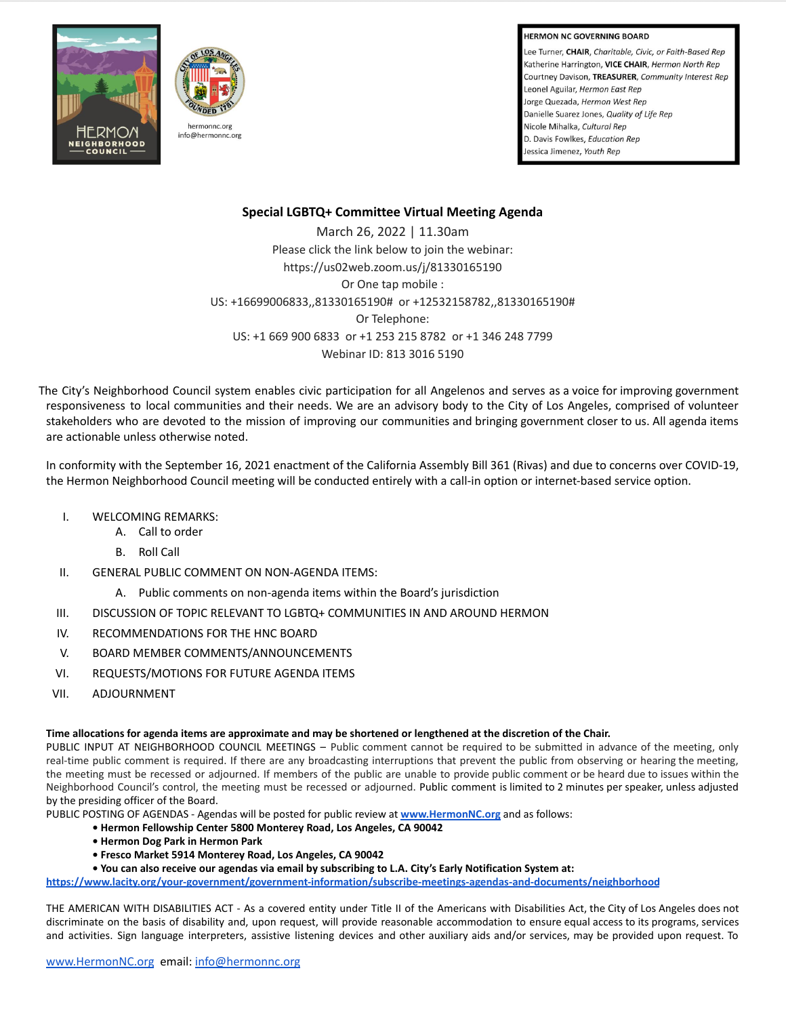## **HERMON NC GOVERNING BOARD**

Lee Turner, CHAIR, Charitable, Civic, or Faith-Based Rep Katherine Harrington, VICE CHAIR, Hermon North Rep Courtney Davison, TREASURER, Community Interest Rep Leonel Aguilar, Hermon East Rep Jorge Quezada, Hermon West Rep Danielle Suarez Jones, Quality of Life Rep Nicole Mihalka, Cultural Rep D. Davis Fowlkes, Education Rep. Jessica Jimenez, Youth Rep



## **Special LGBTQ+ Committee Virtual Meeting Agenda**

March 26, 2022 | 11.30am Please click the link below to join the webinar: https://us02web.zoom.us/j/81330165190 Or One tap mobile : US: +16699006833,,81330165190# or +12532158782,,81330165190# Or Telephone: US: +1 669 900 6833 or +1 253 215 8782 or +1 346 248 7799 Webinar ID: 813 3016 5190

The City's Neighborhood Council system enables civic participation for all Angelenos and serves as a voice for improving government responsiveness to local communities and their needs. We are an advisory body to the City of Los Angeles, comprised of volunteer stakeholders who are devoted to the mission of improving our communities and bringing government closer to us. All agenda items are actionable unless otherwise noted.

In conformity with the September 16, 2021 enactment of the California Assembly Bill 361 (Rivas) and due to concerns over COVID-19, the Hermon Neighborhood Council meeting will be conducted entirely with a call-in option or internet-based service option.

- I. WELCOMING REMARKS:
	- A. Call to order
	- B. Roll Call
- II. GENERAL PUBLIC COMMENT ON NON-AGENDA ITEMS:
	- A. Public comments on non-agenda items within the Board's jurisdiction
- III. DISCUSSION OF TOPIC RELEVANT TO LGBTQ+ COMMUNITIES IN AND AROUND HERMON
- IV. RECOMMENDATIONS FOR THE HNC BOARD
- V. BOARD MEMBER COMMENTS/ANNOUNCEMENTS
- VI. REQUESTS/MOTIONS FOR FUTURE AGENDA ITEMS
- VII. ADJOURNMENT

## **Time allocations for agenda items are approximate and may be shortened or lengthened at the discretion of the Chair.**

PUBLIC INPUT AT NEIGHBORHOOD COUNCIL MEETINGS – Public comment cannot be required to be submitted in advance of the meeting, only real-time public comment is required. If there are any broadcasting interruptions that prevent the public from observing or hearing the meeting, the meeting must be recessed or adjourned. If members of the public are unable to provide public comment or be heard due to issues within the Neighborhood Council's control, the meeting must be recessed or adjourned. Public comment is limited to 2 minutes per speaker, unless adjusted by the presiding officer of the Board.

PUBLIC POSTING OF AGENDAS - Agendas will be posted for public review at **[www.HermonNC.org](http://www.hermonnc.org)** and as follows:

- **Hermon Fellowship Center 5800 Monterey Road, Los Angeles, CA 90042**
- **Hermon Dog Park in Hermon Park**
- **Fresco Market 5914 Monterey Road, Los Angeles, CA 90042**

**• You can also receive our agendas via email by subscribing to L.A. City's Early Notification System at:**

**<https://www.lacity.org/your-government/government-information/subscribe-meetings-agendas-and-documents/neighborhood>**

THE AMERICAN WITH DISABILITIES ACT - As a covered entity under Title II of the Americans with Disabilities Act, the City of Los Angeles does not discriminate on the basis of disability and, upon request, will provide reasonable accommodation to ensure equal access to its programs, services and activities. Sign language interpreters, assistive listening devices and other auxiliary aids and/or services, may be provided upon request. To